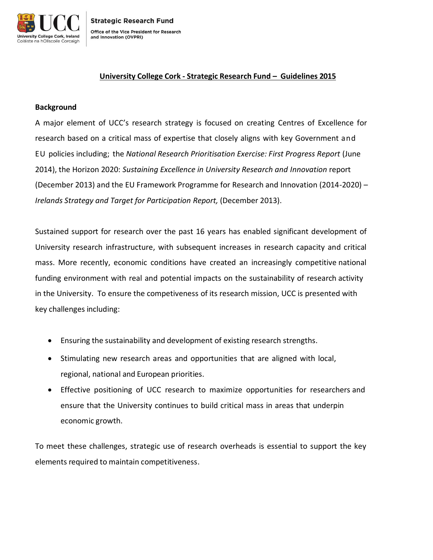

### **University College Cork - Strategic Research Fund – Guidelines 2015**

### **Background**

A major element of UCC's research strategy is focused on creating Centres of Excellence for research based on a critical mass of expertise that closely aligns with key Government and EU policies including; the *National Research Prioritisation Exercise: First Progress Report* (June 2014), the Horizon 2020: *Sustaining Excellence in University Research and Innovation* report (December 2013) and the EU Framework Programme for Research and Innovation (2014-2020) – *Irelands Strategy and Target for Participation Report,* (December 2013).

Sustained support for research over the past 16 years has enabled significant development of University research infrastructure, with subsequent increases in research capacity and critical mass. More recently, economic conditions have created an increasingly competitive national funding environment with real and potential impacts on the sustainability of research activity in the University. To ensure the competiveness of its research mission, UCC is presented with key challenges including:

- Ensuring the sustainability and development of existing research strengths.
- Stimulating new research areas and opportunities that are aligned with local, regional, national and European priorities.
- Effective positioning of UCC research to maximize opportunities for researchers and ensure that the University continues to build critical mass in areas that underpin economic growth.

To meet these challenges, strategic use of research overheads is essential to support the key elements required to maintain competitiveness.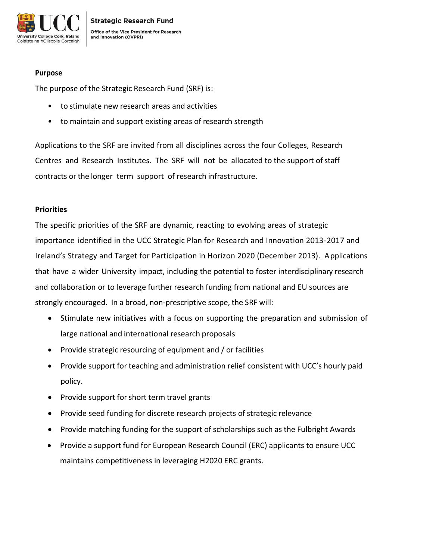

### **Purpose**

The purpose of the Strategic Research Fund (SRF) is:

- to stimulate new research areas and activities
- to maintain and support existing areas of research strength

Applications to the SRF are invited from all disciplines across the four Colleges, Research Centres and Research Institutes. The SRF will not be allocated to the support of staff contracts or the longer term support of research infrastructure.

# **Priorities**

The specific priorities of the SRF are dynamic, reacting to evolving areas of strategic importance identified in the UCC Strategic Plan for Research and Innovation 2013-2017 and Ireland's Strategy and Target for Participation in Horizon 2020 (December 2013). Applications that have a wider University impact, including the potential to foster interdisciplinary research and collaboration or to leverage further research funding from national and EU sources are strongly encouraged. In a broad, non-prescriptive scope, the SRF will:

- Stimulate new initiatives with a focus on supporting the preparation and submission of large national and international research proposals
- Provide strategic resourcing of equipment and / or facilities
- Provide support for teaching and administration relief consistent with UCC's hourly paid policy.
- Provide support for short term travel grants
- Provide seed funding for discrete research projects of strategic relevance
- Provide matching funding for the support of scholarships such as the Fulbright Awards
- Provide a support fund for European Research Council (ERC) applicants to ensure UCC maintains competitiveness in leveraging H2020 ERC grants.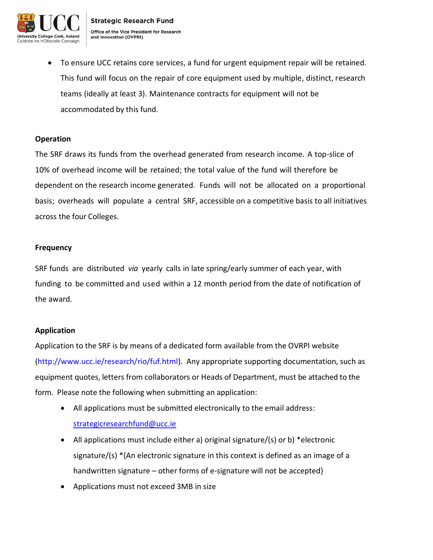

 To ensure UCC retains core services, a fund for urgent equipment repair will be retained. This fund will focus on the repair of core equipment used by multiple, distinct, research teams (ideally at least 3). Maintenance contracts for equipment will not be accommodated by this fund.

### **Operation**

The SRF draws its funds from the overhead generated from research income. A top-slice of 10% of overhead income will be retained; the total value of the fund will therefore be dependent on the research income generated. Funds will not be allocated on a proportional basis; overheads will populate a central SRF, accessible on a competitive basis to all initiatives across the four Colleges.

#### **Frequency**

SRF funds are distributed *via* yearly calls in late spring/early summer of each year, with funding to be committed and used within a 12 month period from the date of notification of the award.

### **Application**

Application to the SRF is by means of a dedicated form available from the OVRPI website (http://www.ucc.ie/research/rio/fuf.html). Any appropriate supporting documentation, such as equipment quotes, letters from collaborators or Heads of Department, must be attached to the form. Please note the following when submitting an application:

- All applications must be submitted electronically to the email address: [strategicresearchfund@ucc.ie](mailto:strategicresearchfund@ucc.ie)
- All applications must include either a) original signature/(s) or b) \*electronic signature/(s) \*{An electronic signature in this context is defined as an image of a handwritten signature – other forms of e-signature will not be accepted}
- Applications must not exceed 3MB in size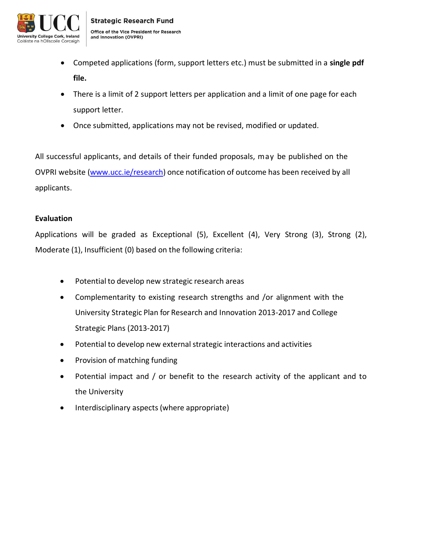

- Competed applications (form, support letters etc.) must be submitted in a **single pdf file.**
- There is a limit of 2 support letters per application and a limit of one page for each support letter.
- Once submitted, applications may not be revised, modified or updated.

All successful applicants, and details of their funded proposals, may be published on the OVPRI website [\(www.ucc.ie/research\)](http://www.ucc.ie/research) once notification of outcome has been received by all applicants.

### **Evaluation**

Applications will be graded as Exceptional (5), Excellent (4), Very Strong (3), Strong (2), Moderate (1), Insufficient (0) based on the following criteria:

- Potential to develop new strategic research areas
- Complementarity to existing research strengths and /or alignment with the University Strategic Plan for Research and Innovation 2013-2017 and College Strategic Plans (2013-2017)
- Potential to develop new external strategic interactions and activities
- Provision of matching funding
- Potential impact and / or benefit to the research activity of the applicant and to the University
- Interdisciplinary aspects (where appropriate)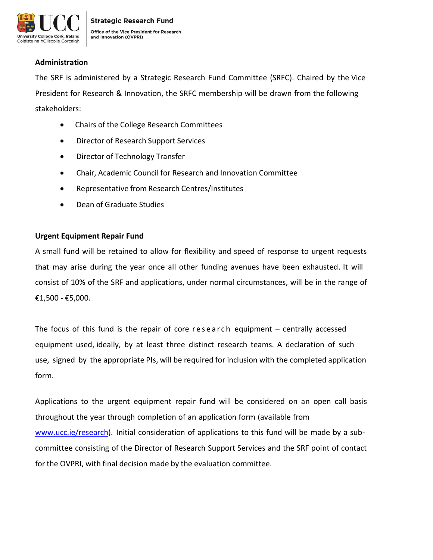

### **Administration**

The SRF is administered by a Strategic Research Fund Committee (SRFC). Chaired by the Vice President for Research & Innovation, the SRFC membership will be drawn from the following stakeholders:

- Chairs of the College Research Committees
- Director of Research Support Services
- Director of Technology Transfer
- Chair, Academic Council for Research and Innovation Committee
- Representative from Research Centres/Institutes
- Dean of Graduate Studies

### **Urgent Equipment Repair Fund**

A small fund will be retained to allow for flexibility and speed of response to urgent requests that may arise during the year once all other funding avenues have been exhausted. It will consist of 10% of the SRF and applications, under normal circumstances, will be in the range of €1,500 - €5,000.

The focus of this fund is the repair of core research equipment  $-$  centrally accessed equipment used, ideally, by at least three distinct research teams. A declaration of such use, signed by the appropriate PIs, will be required for inclusion with the completed application form.

Applications to the urgent equipment repair fund will be considered on an open call basis throughout the year through completion of an application form (available from [www.ucc.ie/research\)](http://www.ucc.ie/research). Initial consideration of applications to this fund will be made by a subcommittee consisting of the Director of Research Support Services and the SRF point of contact for the OVPRI, with final decision made by the evaluation committee.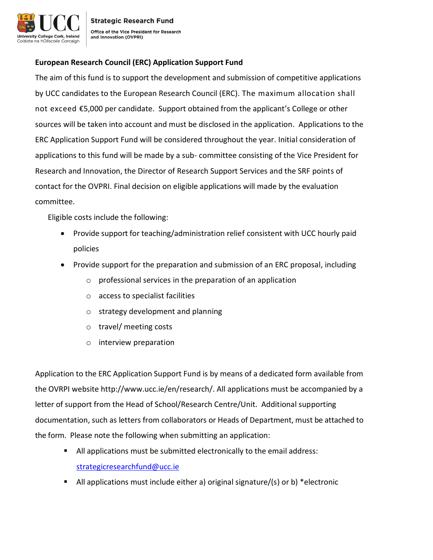

**Strategic Research Fund** Office of the Vice President for Research and Innovation (OVPRI)

# **European Research Council (ERC) Application Support Fund**

The aim of this fund is to support the development and submission of competitive applications by UCC candidates to the European Research Council (ERC). The maximum allocation shall not exceed €5,000 per candidate. Support obtained from the applicant's College or other sources will be taken into account and must be disclosed in the application. Applications to the ERC Application Support Fund will be considered throughout the year. Initial consideration of applications to this fund will be made by a sub- committee consisting of the Vice President for Research and Innovation, the Director of Research Support Services and the SRF points of contact for the OVPRI. Final decision on eligible applications will made by the evaluation committee.

Eligible costs include the following:

- Provide support for teaching/administration relief consistent with UCC hourly paid policies
- Provide support for the preparation and submission of an ERC proposal, including
	- o professional services in the preparation of an application
	- o access to specialist facilities
	- o strategy development and planning
	- o travel/ meeting costs
	- o interview preparation

Application to the ERC Application Support Fund is by means of a dedicated form available from the OVRPI website http://www.ucc.ie/en/research/. All applications must be accompanied by a letter of support from the Head of School/Research Centre/Unit. Additional supporting documentation, such as letters from collaborators or Heads of Department, must be attached to the form. Please note the following when submitting an application:

- All applications must be submitted electronically to the email address: [strategicresearchfund@ucc.ie](mailto:strategicresearchfund@ucc.ie)
- All applications must include either a) original signature/(s) or b) \*electronic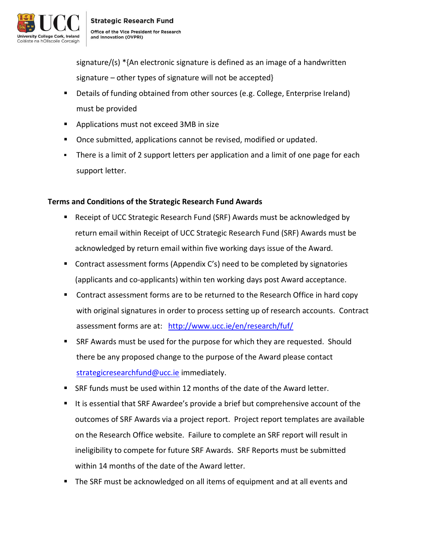

signature/(s) \*{An electronic signature is defined as an image of a handwritten signature – other types of signature will not be accepted}

- Details of funding obtained from other sources (e.g. College, Enterprise Ireland) must be provided
- **Applications must not exceed 3MB in size**
- **Once submitted, applications cannot be revised, modified or updated.**
- **There is a limit of 2 support letters per application and a limit of one page for each** support letter.

# **Terms and Conditions of the Strategic Research Fund Awards**

- Receipt of UCC Strategic Research Fund (SRF) Awards must be acknowledged by return email within Receipt of UCC Strategic Research Fund (SRF) Awards must be acknowledged by return email within five working days issue of the Award.
- Contract assessment forms (Appendix C's) need to be completed by signatories (applicants and co-applicants) within ten working days post Award acceptance.
- Contract assessment forms are to be returned to the Research Office in hard copy with original signatures in order to process setting up of research accounts. Contract assessment forms are at: <http://www.ucc.ie/en/research/fuf/>
- **SRF Awards must be used for the purpose for which they are requested. Should** there be any proposed change to the purpose of the Award please contact [strategicresearchfund@ucc.ie](mailto:strategicresearchfund@ucc.ie) immediately.
- SRF funds must be used within 12 months of the date of the Award letter.
- It is essential that SRF Awardee's provide a brief but comprehensive account of the outcomes of SRF Awards via a project report. Project report templates are available on the Research Office website. Failure to complete an SRF report will result in ineligibility to compete for future SRF Awards. SRF Reports must be submitted within 14 months of the date of the Award letter.
- The SRF must be acknowledged on all items of equipment and at all events and